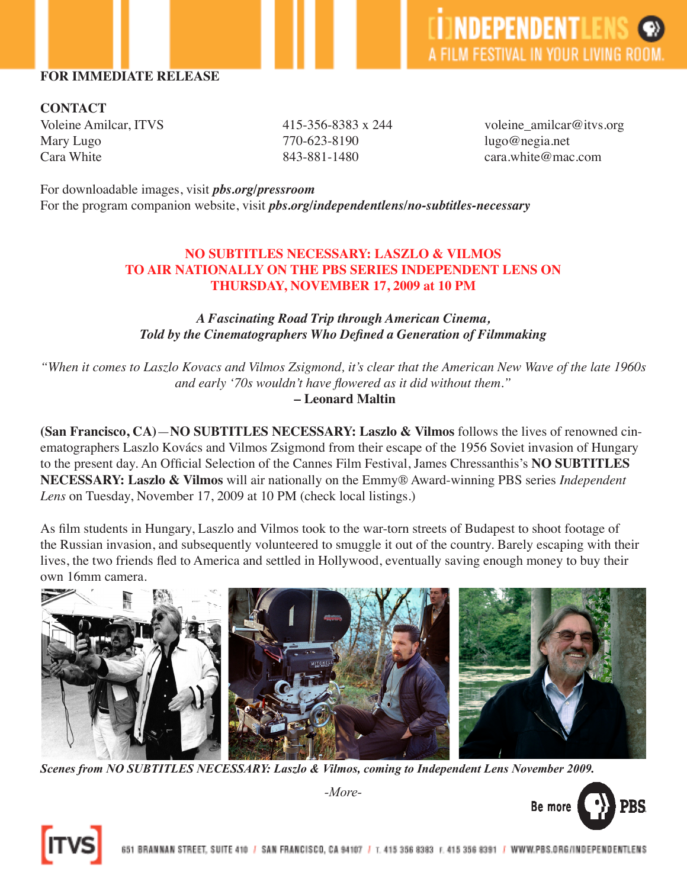### **FOR IMMEDIATE RELEASE**

**CONTACT** Mary Lugo 770-623-8190 lugo@negia.net Cara White  $843-881-1480$  cara.white@mac.com

Voleine Amilcar, ITVS 415-356-8383 x 244 voleine\_amilcar@itvs.org

For downloadable images, visit *pbs.org/pressroom* For the program companion website, visit *pbs.org/independentlens/no-subtitles-necessary* 

## **NO SUBTITLES NECESSARY: LASZLO & VILMOS TO AIR NATIONALLY ON THE PBS SERIES INDEPENDENT LENS ON THURSDAY, NOVEMBER 17, 2009 at 10 PM**

# *A Fascinating Road Trip through American Cinema, Told by the Cinematographers Who Defined a Generation of Filmmaking*

*"When it comes to Laszlo Kovacs and Vilmos Zsigmond, it's clear that the American New Wave of the late 1960s and early '70s wouldn't have flowered as it did without them."*

 **– Leonard Maltin**

**(San Francisco, CA)**—**NO SUBTITLES NECESSARY: Laszlo & Vilmos** follows the lives of renowned cinematographers Laszlo Kovács and Vilmos Zsigmond from their escape of the 1956 Soviet invasion of Hungary to the present day. An Official Selection of the Cannes Film Festival, James Chressanthis's **NO SUBTITLES NECESSARY: Laszlo & Vilmos** will air nationally on the Emmy® Award-winning PBS series *Independent Lens* on Tuesday, November 17, 2009 at 10 PM (check local listings.)

As film students in Hungary, Laszlo and Vilmos took to the war-torn streets of Budapest to shoot footage of the Russian invasion, and subsequently volunteered to smuggle it out of the country. Barely escaping with their lives, the two friends fled to America and settled in Hollywood, eventually saving enough money to buy their own 16mm camera.



*-More-*

*Scenes from NO SUBTITLES NECESSARY: Laszlo & Vilmos, coming to Independent Lens November 2009.*



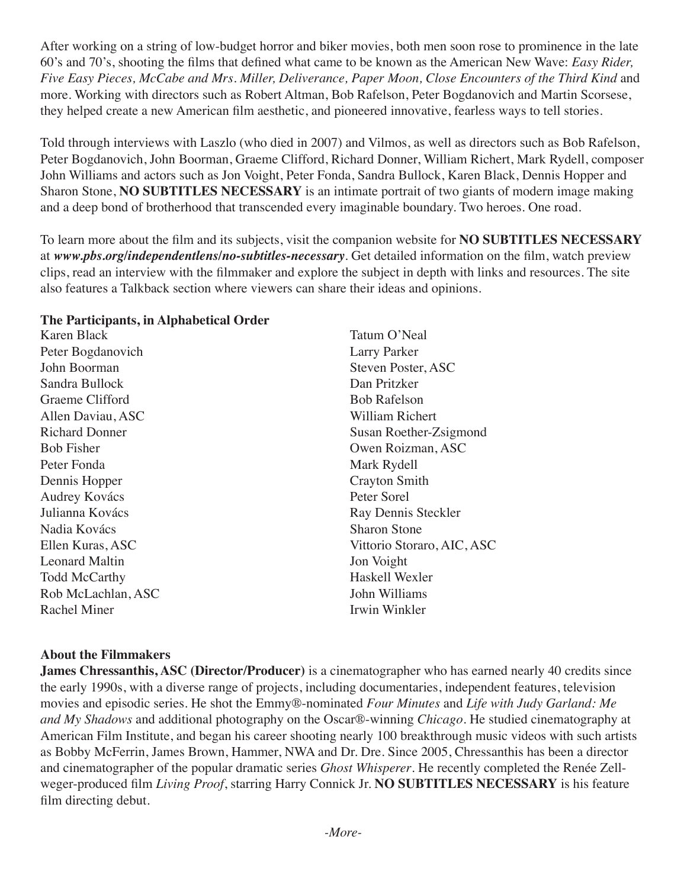After working on a string of low-budget horror and biker movies, both men soon rose to prominence in the late 60's and 70's, shooting the films that defined what came to be known as the American New Wave: *Easy Rider, Five Easy Pieces, McCabe and Mrs. Miller, Deliverance, Paper Moon, Close Encounters of the Third Kind* and more. Working with directors such as Robert Altman, Bob Rafelson, Peter Bogdanovich and Martin Scorsese, they helped create a new American film aesthetic, and pioneered innovative, fearless ways to tell stories.

Told through interviews with Laszlo (who died in 2007) and Vilmos, as well as directors such as Bob Rafelson, Peter Bogdanovich, John Boorman, Graeme Clifford, Richard Donner, William Richert, Mark Rydell, composer John Williams and actors such as Jon Voight, Peter Fonda, Sandra Bullock, Karen Black, Dennis Hopper and Sharon Stone, **NO SUBTITLES NECESSARY** is an intimate portrait of two giants of modern image making and a deep bond of brotherhood that transcended every imaginable boundary. Two heroes. One road.

To learn more about the film and its subjects, visit the companion website for **NO SUBTITLES NECESSARY**  at *www.pbs.org/independentlens/no-subtitles-necessary*. Get detailed information on the film, watch preview clips, read an interview with the filmmaker and explore the subject in depth with links and resources. The site also features a Talkback section where viewers can share their ideas and opinions.

#### **The Participants, in Alphabetical Order**

Karen Black Peter Bogdanovich John Boorman Sandra Bullock Graeme Clifford Allen Daviau, ASC Richard Donner Bob Fisher Peter Fonda Dennis Hopper Audrey Kovács Julianna Kovács Nadia Kovács Ellen Kuras, ASC Leonard Maltin Todd McCarthy Rob McLachlan, ASC Rachel Miner

Tatum O'Neal Larry Parker Steven Poster, ASC Dan Pritzker Bob Rafelson William Richert Susan Roether-Zsigmond Owen Roizman, ASC Mark Rydell Crayton Smith Peter Sorel Ray Dennis Steckler Sharon Stone Vittorio Storaro, AIC, ASC Jon Voight Haskell Wexler John Williams Irwin Winkler

## **About the Filmmakers**

**James Chressanthis, ASC (Director/Producer)** is a cinematographer who has earned nearly 40 credits since the early 1990s, with a diverse range of projects, including documentaries, independent features, television movies and episodic series. He shot the Emmy®-nominated *Four Minutes* and *Life with Judy Garland: Me and My Shadows* and additional photography on the Oscar®-winning *Chicago*. He studied cinematography at American Film Institute, and began his career shooting nearly 100 breakthrough music videos with such artists as Bobby McFerrin, James Brown, Hammer, NWA and Dr. Dre. Since 2005, Chressanthis has been a director and cinematographer of the popular dramatic series *Ghost Whisperer*. He recently completed the Renée Zellweger-produced film *Living Proof*, starring Harry Connick Jr. **NO SUBTITLES NECESSARY** is his feature film directing debut.